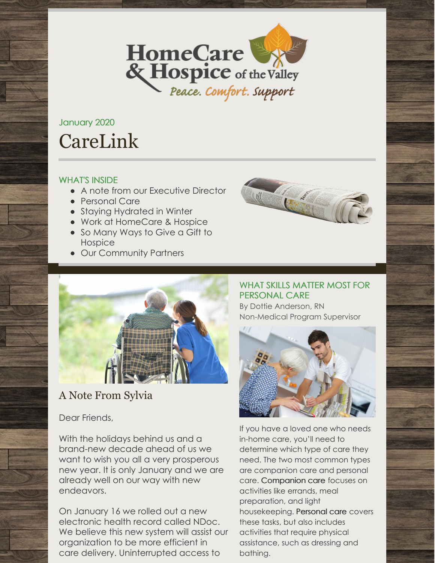

# January 2020 CareLink

#### WHAT'S INSIDE

- A note from our Executive Director
- Personal Care
- Staying Hydrated in Winter
- Work at HomeCare & Hospice
- So Many Ways to Give a Gift to Hospice
- Our Community Partners





# A Note From Sylvia

# Dear Friends,

With the holidays behind us and a brand-new decade ahead of us we want to wish you all a very prosperous new year. It is only January and we are already well on our way with new endeavors.

On January 16 we rolled out a new electronic health record called NDoc. We believe this new system will assist our organization to be more efficient in care delivery. Uninterrupted access to

## WHAT SKILLS MATTER MOST FOR PERSONAL CARE

By Dottie Anderson, RN Non-Medical Program Supervisor



If you have a loved one who needs in-home care, you'll need to determine which type of care they need. The two most common types are companion care and personal care. [Companion](https://www.visitingangels.com/elderly-companion-care) care focuses on activities like errands, meal preparation, and light housekeeping. [Personal](https://www.visitingangels.com/private-duty-care) care covers these tasks, but also includes activities that require physical assistance, such as dressing and bathing.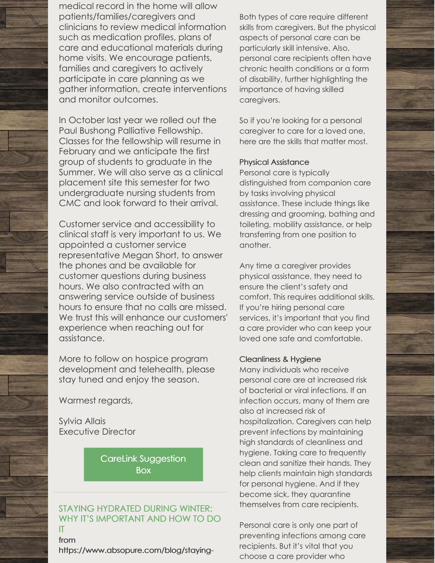medical record in the home will allow patients/families/caregivers and clinicians to review medical information such as medication profiles, plans of care and educational materials during home visits. We encourage patients, families and caregivers to actively participate in care planning as we gather information, create interventions and monitor outcomes.

In October last year we rolled out the Paul Bushong Palliative Fellowship. Classes for the fellowship will resume in February and we anticipate the first group of students to graduate in the Summer. We will also serve as a clinical placement site this semester for two undergraduate nursing students from CMC and look forward to their arrival.

Customer service and accessibility to clinical staff is very important to us. We appointed a customer service representative Megan Short, to answer the phones and be available for customer questions during business hours. We also contracted with an answering service outside of business hours to ensure that no calls are missed. We trust this will enhance our customers' experience when reaching out for assistance.

More to follow on hospice program development and telehealth, please stay tuned and enjoy the season.

Warmest regards,

Sylvia Allais Executive Director

> CareLink [Suggestion](mailto:twilliams@hchotv.org) **Box**

#### STAYING HYDRATED DURING WINTER: WHY IT'S IMPORTANT AND HOW TO DO IT

from

[https://www.absopure.com/blog/staying-](https://www.absopure.com/blog/staying-hydrated-during-winter/)

Both types of care require different skills from caregivers. But the physical aspects of personal care can be particularly skill intensive. Also, personal care recipients often have chronic health conditions or a form of disability, further highlighting the importance of having skilled caregivers.

So if you're looking for a personal caregiver to care for a loved one, here are the skills that matter most.

#### Physical Assistance

Personal care is typically distinguished from companion care by tasks involving physical assistance. These include things like dressing and grooming, bathing and toileting, mobility assistance, or help transferring from one position to another.

Any time a caregiver provides physical assistance, they need to ensure the client's safety and comfort. This requires additional skills. If you're hiring personal care services, it's important that you find a care provider who can keep your loved one safe and comfortable.

#### Cleanliness & Hygiene

Many individuals who receive personal care are at increased risk of bacterial or viral infections. If an infection occurs, many of them are also at increased risk of hospitalization. Caregivers can help prevent infections by maintaining high standards of cleanliness and hygiene. Taking care to frequently clean and sanitize their hands. They help clients maintain high standards for personal hygiene. And if they become sick, they quarantine themselves from care recipients.

Personal care is only one part of preventing infections among care recipients. But it's vital that you choose a care provider who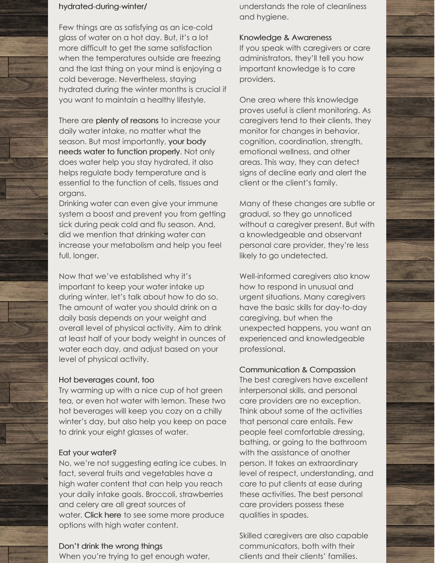#### hydrated-during-winter/

Few things are as satisfying as an ice-cold glass of water on a hot day. But, it's a lot more difficult to get the same satisfaction when the temperatures outside are freezing and the last thing on your mind is enjoying a cold beverage. Nevertheless, staying hydrated during the winter months is crucial if you want to maintain a healthy lifestyle.

There are plenty of [reasons](http://www.absopure.com/blog/healthy-living/7-reasons-drink-water/) to increase your daily water intake, no matter what the season. But most [importantly,](http://www.everydayhealth.com/water-health/water-body-health.aspx) your body needs water to function properly. Not only does water help you stay hydrated, it also helps regulate body temperature and is essential to the function of cells, tissues and organs.

Drinking water can even give your immune system a boost and prevent you from getting sick during peak cold and flu season. And, did we mention that drinking water can increase your metabolism and help you feel full, longer.

Now that we've established why it's important to keep your water intake up during winter, let's talk about how to do so. The amount of water you should drink on a daily basis depends on your weight and overall level of physical activity. Aim to drink at least half of your body weight in ounces of water each day, and adjust based on your level of physical activity.

#### Hot beverages count, too

Try warming up with a nice cup of hot green tea, or even hot water with lemon. These two hot beverages will keep you cozy on a chilly winter's day, but also help you keep on pace to drink your eight glasses of water.

#### Eat your water?

No, we're not suggesting eating ice cubes. In fact, several fruits and vegetables have a high water content that can help you reach your daily intake goals. Broccoli, strawberries and celery are all great sources of water. [Click](http://www.absopure.com/blog/refresh-your-senses/9-hydrating-foods-eat-national-nutrition-month/) here to see some more produce options with high water content.

#### Don't drink the wrong things

When you're trying to get enough water,

understands the role of cleanliness and hygiene.

#### Knowledge & Awareness

If you speak with caregivers or care administrators, they'll tell you how important knowledge is to care providers.

One area where this knowledge proves useful is client monitoring. As caregivers tend to their clients, they monitor for changes in behavior, cognition, coordination, strength, emotional wellness, and other areas. This way, they can detect signs of decline early and alert the client or the client's family.

Many of these changes are subtle or gradual, so they go unnoticed without a caregiver present. But with a knowledgeable and observant personal care provider, they're less likely to go undetected.

Well-informed caregivers also know how to respond in unusual and urgent situations. Many caregivers have the basic skills for day-to-day caregiving, but when the unexpected happens, you want an experienced and knowledgeable professional.

#### Communication & Compassion

The best caregivers have excellent interpersonal skills, and personal care providers are no exception. Think about some of the activities that personal care entails. Few people feel comfortable dressing, bathing, or going to the bathroom with the assistance of another person. It takes an extraordinary level of respect, understanding, and care to put clients at ease during these activities. The best personal care providers possess these qualities in spades.

Skilled caregivers are also capable communicators, both with their clients and their clients' families.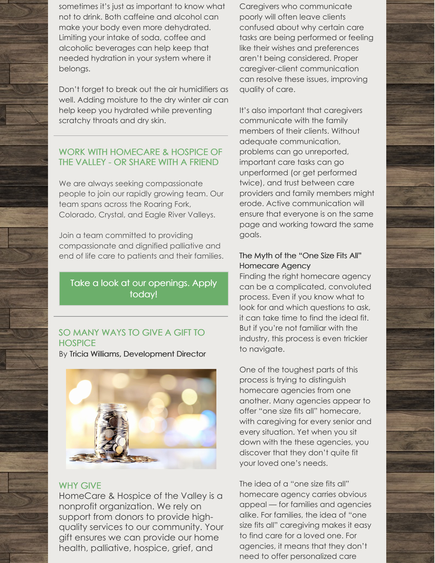sometimes it's just as important to know what not to drink. Both caffeine and alcohol can make your body even more dehydrated. Limiting your intake of soda, coffee and alcoholic beverages can help keep that needed hydration in your system where it belongs.

Don't forget to break out the air humidifiers as well. Adding moisture to the dry winter air can help keep you hydrated while preventing scratchy throats and dry skin.

#### WORK WITH HOMECARE & HOSPICE OF THE VALLEY - OR SHARE WITH A FRIEND

We are always seeking compassionate people to join our rapidly growing team. Our team spans across the Roaring Fork, Colorado, Crystal, and Eagle River Valleys.

Join a team committed to providing compassionate and dignified palliative and end of life care to patients and their families.

# Take a look at our [openings.](https://sites.hireology.com/homecareandhospiceofthevalley/) Apply today!

## SO MANY WAYS TO GIVE A GIFT TO **HOSPICE**

By Tricia Williams, [Development](mailto:twilliams@hchotv.org) Director



#### WHY GIVE

HomeCare & Hospice of the Valley is a nonprofit organization. We rely on support from donors to provide highquality services to our community. Your gift ensures we can provide our home health, palliative, hospice, grief, and

Caregivers who communicate poorly will often leave clients confused about why certain care tasks are being performed or feeling like their wishes and preferences aren't being considered. Proper caregiver-client communication can resolve these issues, improving quality of care.

It's also important that caregivers communicate with the family members of their clients. Without adequate communication, problems can go unreported, important care tasks can go unperformed (or get performed twice), and trust between care providers and family members might erode. Active communication will ensure that everyone is on the same page and working toward the same goals.

#### The Myth of the "One Size Fits All" Homecare Agency

Finding the right homecare agency can be a complicated, convoluted process. Even if you know what to look for and which questions to ask, it can take time to find the ideal fit. But if you're not familiar with the industry, this process is even trickier to navigate.

One of the toughest parts of this process is trying to distinguish homecare agencies from one another. Many agencies appear to offer "one size fits all" homecare, with caregiving for every senior and every situation. Yet when you sit down with the these agencies, you discover that they don't quite fit your loved one's needs.

The idea of a "one size fits all" homecare agency carries obvious appeal — for families and agencies alike. For families, the idea of "one size fits all" caregiving makes it easy to find care for a loved one. For agencies, it means that they don't need to offer personalized care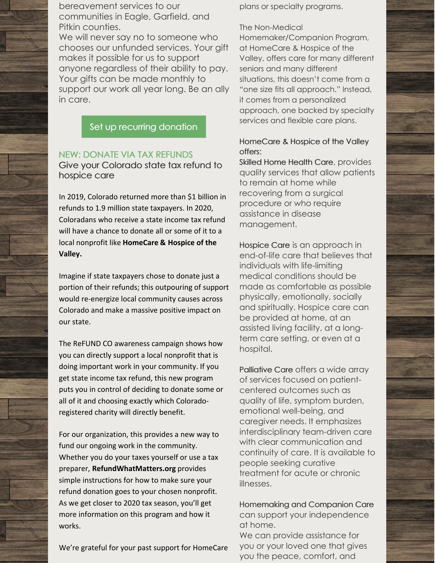bereavement services to our communities in Eagle, Garfield, and Pitkin counties.

We will never say no to someone who chooses our unfunded services. Your gift makes it possible for us to support anyone regardless of their ability to pay. Your gifts can be made monthly to support our work all year long. Be an ally in care.

Set up recurring [donation](https://interland3.donorperfect.net/weblink/WebLink.aspx?name=E150410&id=2)

#### NEW: DONATE VIA TAX REFUNDS Give your Colorado state tax refund to hospice care

In 2019, Colorado returned more than \$1 billion in refunds to 1.9 million state taxpayers. In 2020, Coloradans who receive a state income tax refund will have a chance to donate all or some of it to a local nonprofit like **HomeCare & Hospice of the Valley.**

Imagine if state taxpayers chose to donate just a portion of their refunds; this outpouring of support would re-energize local community causes across Colorado and make a massive positive impact on our state.

The ReFUND CO awareness campaign shows how you can directly support a local nonprofit that is doing important work in your community. If you get state income tax refund, this new program puts you in control of deciding to donate some or all of it and choosing exactly which Coloradoregistered charity will directly benefit.

For our organization, this provides a new way to fund our ongoing work in the community. Whether you do your taxes yourself or use a tax preparer, **[RefundWhatMatters.org](http://refundwhatmatters.org)** provides simple instructions for how to make sure your refund donation goes to your chosen nonprofit. As we get closer to 2020 tax season, you'll get more information on this program and how it works.

We're grateful for your past support for HomeCare

plans or specialty programs.

#### The Non-Medical

Homemaker/Companion Program, at HomeCare & Hospice of the Valley, offers care for many different seniors and many different situations, this doesn't come from a "one size fits all approach." Instead, it comes from a personalized approach, one backed by specialty services and flexible care plans.

#### HomeCare & Hospice of the Valley offers:

Skilled Home Health Care, provides quality services that allow patients to remain at home while recovering from a surgical procedure or who require assistance in disease management.

Hospice Care is an approach in end-of-life care that believes that individuals with life-limiting medical conditions should be made as comfortable as possible physically, emotionally, socially and spiritually. Hospice care can be provided at home, at an assisted living facility, at a longterm care setting, or even at a hospital.

Palliative Care offers a wide array of services focused on patientcentered outcomes such as quality of life, symptom burden, emotional well-being, and caregiver needs. It emphasizes interdisciplinary team-driven care with clear communication and continuity of care. It is available to people seeking curative treatment for acute or chronic illnesses.

Homemaking and Companion Care can support your independence at home.

We can provide assistance for you or your loved one that gives you the peace, comfort, and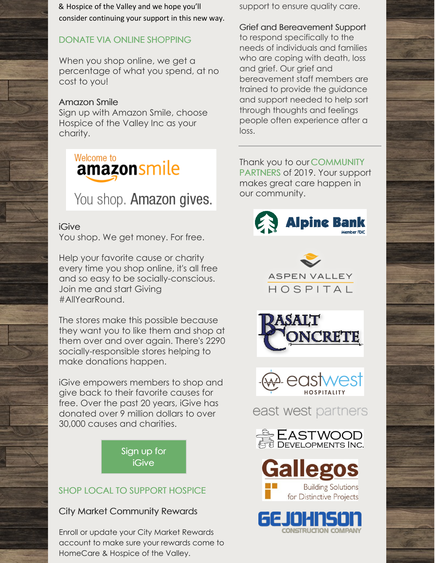& Hospice of the Valley and we hope you'll consider continuing your support in this new way.

# DONATE VIA ONLINE SHOPPING

When you shop online, we get a percentage of what you spend, at no cost to you!

# Amazon Smile

Sign up with Amazon Smile, choose Hospice of the Valley Inc as your charity.



# You shop. Amazon gives.

#### iGive

You shop. We get money. For free.

Help your favorite cause or charity every time you shop online, it's all free and so easy to be socially-conscious. Join me and start Giving #AllYearRound.

The stores make this possible because they want you to like them and shop at them over and over again. There's 2290 socially-responsible stores helping to make donations happen.

iGive empowers members to shop and give back to their favorite causes for free. Over the past 20 years, iGive has donated over 9 million dollars to over 30,000 causes and charities.

> Sign up for [iGive](https://www.igive.com/Pego7p)

# SHOP LOCAL TO SUPPORT HOSPICE

# City Market Community Rewards

Enroll or update your City Market Rewards account to make sure your rewards come to HomeCare & Hospice of the Valley.

support to ensure quality care.

Grief and Bereavement Support

to respond specifically to the needs of individuals and families who are coping with death, loss and grief. Our grief and bereavement staff members are trained to provide the guidance and support needed to help sort through thoughts and feelings people often experience after a loss.

Thank you to our COMMUNITY PARTNERS of 2019. Your support makes great care happen in our community.









east west partners





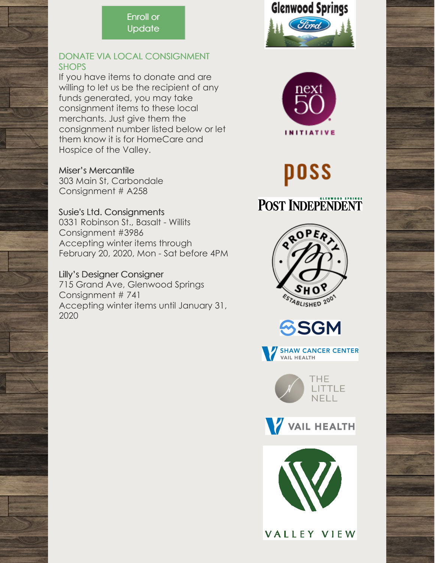# Enroll or **[Update](https://www.citymarket.com/signin?redirectUrl=/account/communityrewards/)**

## DONATE VIA LOCAL CONSIGNMENT **SHOPS**

If you have items to donate and are willing to let us be the recipient of any funds generated, you may take consignment items to these local merchants. Just give them the consignment number listed below or let them know it is for HomeCare and Hospice of the Valley.

#### Miser's Mercantile

303 Main St, Carbondale Consignment # A258

# Susie's Ltd. Consignments

0331 Robinson St., Basalt - Willits Consignment #3986 Accepting winter items through February 20, 2020, Mon - Sat before 4PM

## Lilly's Designer Consigner

715 Grand Ave, Glenwood Springs Consignment # 741 Accepting winter items until January 31, 2020





# poss

# **POST INDEPENDENT**













VALLEY VIEW